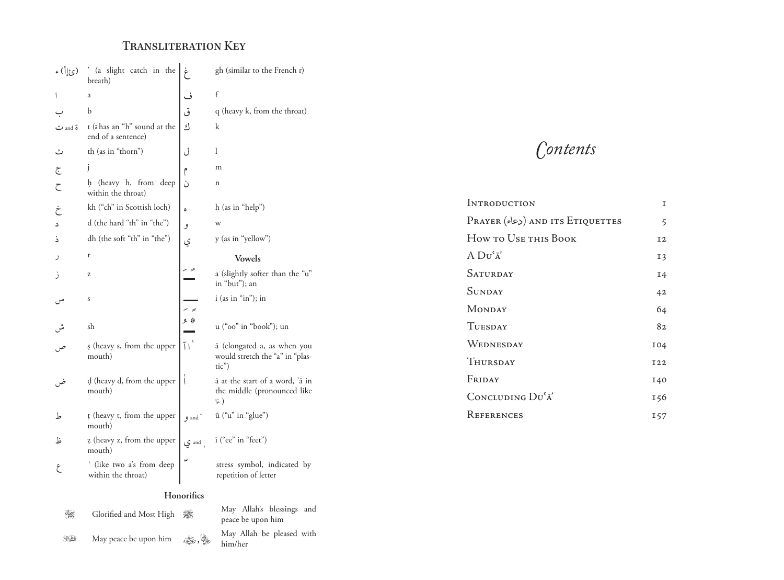### Transliteration Key

| (ئإاً) ء   | ' (a slight catch in the<br>breath)                        | غ                        | gh (similar to the French r)                                                                        |  |  |  |
|------------|------------------------------------------------------------|--------------------------|-----------------------------------------------------------------------------------------------------|--|--|--|
|            | a                                                          | ف                        | $\boldsymbol{f}$                                                                                    |  |  |  |
|            | b                                                          | ق                        | q (heavy k, from the throat)                                                                        |  |  |  |
| ة and ت    | t (¿ has an "h" sound at the<br>end of a sentence)         | ك                        | k                                                                                                   |  |  |  |
| ث          | th (as in "thorn")                                         | ل                        | $\mathbf{I}$                                                                                        |  |  |  |
| ج          | Ĵ                                                          | ۴                        | m                                                                                                   |  |  |  |
| ح          | h (heavy h, from deep<br>within the throat)                | ن                        | n                                                                                                   |  |  |  |
| خ          | kh ("ch" in Scottish loch)                                 | ٥                        | h (as in "help")                                                                                    |  |  |  |
| د          | d (the hard "th" in "the")                                 | و                        | W                                                                                                   |  |  |  |
| د          | dh (the soft "th" in "the")                                | ي                        | y (as in "yellow")                                                                                  |  |  |  |
| ر          | $\Gamma$                                                   |                          | <b>Vowels</b>                                                                                       |  |  |  |
| ر          | $\rm{z}$                                                   |                          | a (slightly softer than the "u"<br>in "but"); an                                                    |  |  |  |
|            | $\boldsymbol{S}$                                           | - 4                      | i (as in "in"); in                                                                                  |  |  |  |
|            | sh                                                         | بي و                     | u ("oo" in "book"); un                                                                              |  |  |  |
|            | s (heavy s, from the upper<br>mouth)                       | $\lceil  $               | ā (elongated a, as when you<br>would stretch the "a" in "plas-<br>tic")                             |  |  |  |
|            | d (heavy d, from the upper<br>mouth)                       | $\overline{\phantom{a}}$ | a at the start of a word, 'a in<br>the middle (pronounced like<br>$\left\vert \epsilon \right\vert$ |  |  |  |
| ط          | t (heavy t, from the upper<br>mouth)                       | ' and و                  | ū ("u" in "glue")                                                                                   |  |  |  |
| ظ          | z (heavy z, from the upper<br>mouth)                       | $\mathcal{S}$ and        | ī ("ee" in "feet")                                                                                  |  |  |  |
| ع          | <sup>c</sup> (like two a's from deep<br>within the throat) |                          | stress symbol, indicated by<br>repetition of letter                                                 |  |  |  |
| Honorifics |                                                            |                          |                                                                                                     |  |  |  |
| ٢          | Glorified and Most High                                    | ٦                        | May Allah's blessings and<br>peace be upon him                                                      |  |  |  |
| العليم     | May peace be upon him                                      |                          | May Allah be pleased with<br>him/her                                                                |  |  |  |

## *Contents*

| INTRODUCTION                     | т              |
|----------------------------------|----------------|
| PRAYER (دعاء) AND ITS ETIQUETTES | 5              |
| How to Use this Book             | I <sub>2</sub> |
| $A Du^{\prime} \tilde{A}$        | 13             |
| SATURDAY                         | I4             |
| <b>SUNDAY</b>                    | 42             |
| <b>MONDAY</b>                    | 64             |
| TUESDAY                          | 82             |
| WEDNESDAY                        | <b>I04</b>     |
| THURSDAY                         | I22            |
| Friday                           | I40            |
| CONCLUDING Du'A'                 | 156            |
| References                       | 157            |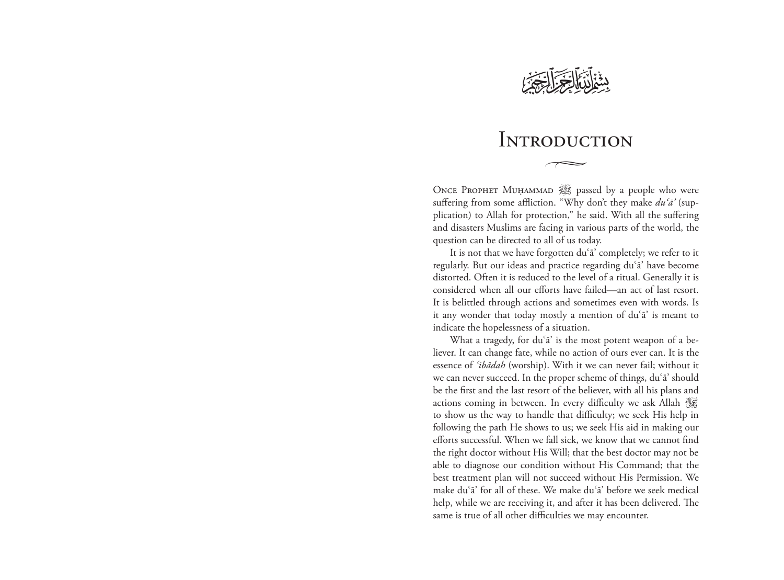

### **INTRODUCTION** *-*

ONCE PROPHET MUHAMMAD Se passed by a people who were suffering from some affliction. "Why don't they make  $du'\tilde{a}'$  (supplication) to Allah for protection," he said. With all the suffering and disasters Muslims are facing in various parts of the world, the question can be directed to all of us today.

It is not that we have forgotten du'a' completely; we refer to it regularly. But our ideas and practice regarding du<ā' have become distorted. Often it is reduced to the level of a ritual. Generally it is considered when all our efforts have failed—an act of last resort. It is belittled through actions and sometimes even with words. Is it any wonder that today mostly a mention of du'a' is meant to indicate the hopelessness of a situation.

What a tragedy, for du'a' is the most potent weapon of a believer. It can change fate, while no action of ours ever can. It is the essence of *ibādah* (worship). With it we can never fail; without it we can never succeed. In the proper scheme of things, du'a' should be the first and the last resort of the believer, with all his plans and actions coming in between. In every difficulty we ask Allah وسلم to show us the way to handle that difficulty; we seek His help in following the path He shows to us; we seek His aid in making our efforts successful. When we fall sick, we know that we cannot find the right doctor without His Will; that the best doctor may not be able to diagnose our condition without His Command; that the best treatment plan will not succeed without His Permission. We make du<ā' for all of these. We make du<ā' before we seek medical help, while we are receiving it, and after it has been delivered. The same is true of all other difficulties we may encounter.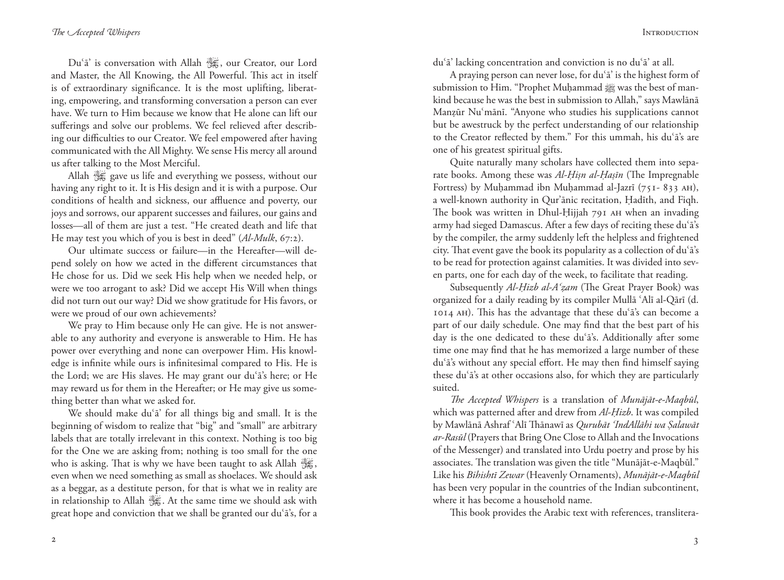Du'a' is conversation with Allah (5, our Creator, our Lord and Master, the All Knowing, the All Powerful. This act in itself is of extraordinary significance. It is the most uplifting, liberating, empowering, and transforming conversation a person can ever have. We turn to Him because we know that He alone can lift our sufferings and solve our problems. We feel relieved after describing our difficulties to our Creator. We feel empowered after having communicated with the All Mighty. We sense His mercy all around us after talking to the Most Merciful.

Allah  $\frac{1}{2}$  gave us life and everything we possess, without our having any right to it. It is His design and it is with a purpose. Our conditions of health and sickness, our affluence and poverty, our joys and sorrows, our apparent successes and failures, our gains and losses—all of them are just a test. "He created death and life that He may test you which of you is best in deed" (*Al-Mulk*, 67:2).

Our ultimate success or failure—in the Hereafter—will depend solely on how we acted in the different circumstances that He chose for us. Did we seek His help when we needed help, or were we too arrogant to ask? Did we accept His Will when things did not turn out our way? Did we show gratitude for His favors, or were we proud of our own achievements?

We pray to Him because only He can give. He is not answerable to any authority and everyone is answerable to Him. He has power over everything and none can overpower Him. His knowledge is infinite while ours is infinitesimal compared to His. He is the Lord; we are His slaves. He may grant our du'a's here; or He may reward us for them in the Hereafter; or He may give us something better than what we asked for.

We should make du'a' for all things big and small. It is the beginning of wisdom to realize that "big" and "small" are arbitrary labels that are totally irrelevant in this context. Nothing is too big for the One we are asking from; nothing is too small for the one who is asking. That is why we have been taught to ask Allah  $\mathbb{R}$ , even when we need something as small as shoelaces. We should ask as a beggar, as a destitute person, for that is what we in reality are in relationship to Allah وسلم. At the same time we should ask with great hope and conviction that we shall be granted our du'a's, for a

du<ā' lacking concentration and conviction is no du<ā' at all.

A praying person can never lose, for  $du^c\vec{a}$  is the highest form of submission to Him. "Prophet Mu4ammad صلى الله عليه وسلم was the best of mankind because he was the best in submission to Allah," says Mawlānā Manzūr Nu'mānī. "Anyone who studies his supplications cannot but be awestruck by the perfect understanding of our relationship to the Creator reflected by them." For this ummah, his du<ā's are one of his greatest spiritual gifts.

Quite naturally many scholars have collected them into separate books. Among these was *Al-Hisn al-Hasin* (The Impregnable Fortress) by Muhammad ibn Muhammad al-Jazrī ( $751 - 833$  AH), a well-known authority in Qur'ānic recitation, Hadīth, and Fiqh. The book was written in Dhul-Hijjah 791 AH when an invading army had sieged Damascus. After a few days of reciting these du'a's by the compiler, the army suddenly left the helpless and frightened city. That event gave the book its popularity as a collection of du<ā's to be read for protection against calamities. It was divided into seven parts, one for each day of the week, to facilitate that reading.

Subsequently *Al-Hizb al-A'zam* (The Great Prayer Book) was organized for a daily reading by its compiler Mullā <Alī al-Qārī (d. ). This has the advantage that these du<ā's can become a part of our daily schedule. One may find that the best part of his day is the one dedicated to these du'a's. Additionally after some time one may find that he has memorized a large number of these du<ā's without any special effort. He may then find himself saying these du'a's at other occasions also, for which they are particularly suited.

*The Accepted Whispers* is a translation of *Munājāt-e-Maqbūl*, which was patterned after and drew from *Al-Hizb*. It was compiled by Mawlānā Ashraf 'Alī Thānawī as *Qurubāt 'IndAllāhi wa Şalawāt ar-Rasūl* (Prayers that Bring One Close to Allah and the Invocations of the Messenger) and translated into Urdu poetry and prose by his associates. The translation was given the title "Munājāt-e-Maqbūl." Like his *Bihishtī Zewar* (Heavenly Ornaments), *Munājāt-e-Maqbūl* has been very popular in the countries of the Indian subcontinent, where it has become a household name.

This book provides the Arabic text with references, translitera-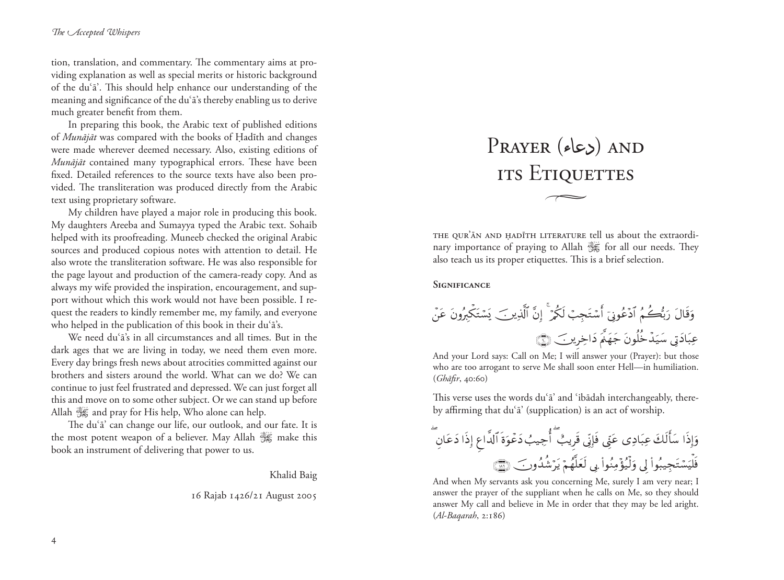tion, translation, and commentary. The commentary aims at providing explanation as well as special merits or historic background of the du<ā'. This should help enhance our understanding of the meaning and significance of the du'a's thereby enabling us to derive much greater benefit from them.

In preparing this book, the Arabic text of published editions of *Munājāt* was compared with the books of Hadīth and changes were made wherever deemed necessary. Also, existing editions of *Munājāt* contained many typographical errors. These have been fixed. Detailed references to the source texts have also been provided. The transliteration was produced directly from the Arabic text using proprietary software.

My children have played a major role in producing this book. My daughters Areeba and Sumayya typed the Arabic text. Sohaib helped with its proofreading. Muneeb checked the original Arabic sources and produced copious notes with attention to detail. He also wrote the transliteration software. He was also responsible for the page layout and production of the camera-ready copy. And as always my wife provided the inspiration, encouragement, and support without which this work would not have been possible. I request the readers to kindly remember me, my family, and everyone who helped in the publication of this book in their du'a's.

We need du'a's in all circumstances and all times. But in the dark ages that we are living in today, we need them even more. Every day brings fresh news about atrocities committed against our brothers and sisters around the world. What can we do? We can continue to just feel frustrated and depressed. We can just forget all this and move on to some other subject. Or we can stand up before Allah  $\frac{200}{1000}$  and pray for His help, Who alone can help.

The du'a' can change our life, our outlook, and our fate. It is the most potent weapon of a believer. May Allah  $\frac{1}{2}$  make this book an instrument of delivering that power to us.

Khalid Baig

#### 16 Rajab 1426/21 August 2005

## PRAYER (دعاء) AND ITS ETIQUETTES *-*

THE OUR<sup>'</sup>AN AND HADITH LITERATURE tell us about the extraordinary importance of praying to Allah وسلم for all our needs. They also teach us its proper etiquettes. This is a brief selection.

**SIGNIFICANCE** 

<sup>ô</sup>tã <sup>t</sup>βρç-<sup>É</sup>9õ3tGó¡o" <sup>š</sup>Ï%©!\$# ¨βÎ) <sup>4</sup> <sup>ö</sup>/ä3s<sup>9</sup> <sup>ó</sup>=ÉftGó™r& <sup>þ</sup>'ÎΤθãã÷Š\$# <sup>ã</sup>Νà6<sup>š</sup> /u' <sup>t</sup>Α\$s%u<sup>ρ</sup> ∩∉⊃∪ <sup>š</sup>ÌÅz#yŠ <sup>t</sup>Λ©yγy\_ <sup>t</sup>βθè=äzô‰u‹y™ 'ÎAyŠ\$t6Ïã And your Lord says: Call on Me; I will answer your (Prayer): but those

who are too arrogant to serve Me shall soon enter Hell—in humiliation.  $(Gh\bar{a}fr, 40:60)$ 

This verse uses the words du'a' and 'ibādah interchangeably, thereby affirming that du<ā' (supplication) is an act of worship.

# وَإِذَا سَأَلَكَ عِبَادِي عَنِّي فَإِنِّي قَرِيبٌ أَجِيبُ دَعْوَةَ ٱلدَّاعِ إِذَا دَعَانِ<br>-فَلْيَسْتَجِيبُواْ لِي وَلْيُؤْمِنُواْ بِي لَعَلَّهُمْ يَرْشُدُونَ\_ (ﷺ

And when My servants ask you concerning Me, surely I am very near; I answer the prayer of the suppliant when he calls on Me, so they should answer My call and believe in Me in order that they may be led aright.  $(Al$ -*Baqarah*, 2:186)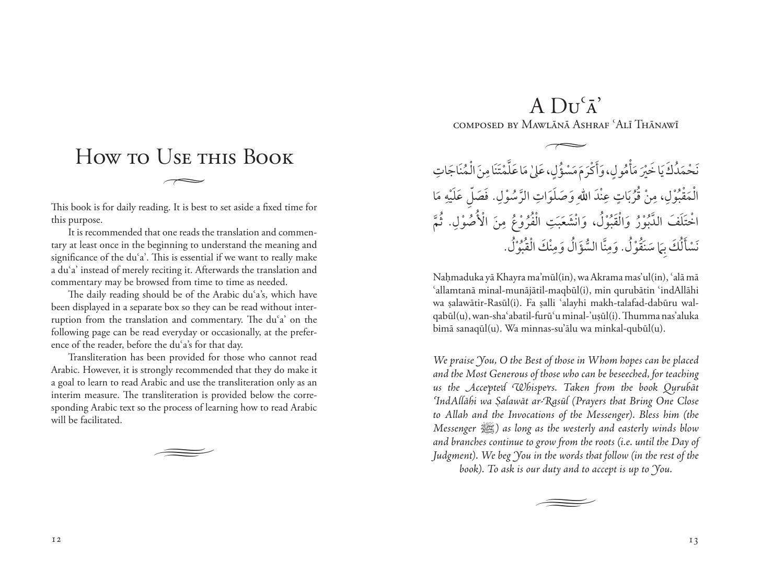### How to Use this Book *-*

This book is for daily reading. It is best to set aside a fixed time for this purpose.

It is recommended that one reads the translation and commentary at least once in the beginning to understand the meaning and significance of the du'a'. This is essential if we want to really make a du'a' instead of merely reciting it. Afterwards the translation and commentary may be browsed from time to time as needed.

The daily reading should be of the Arabic du'a's, which have been displayed in a separate box so they can be read without interruption from the translation and commentary. The du'a' on the following page can be read everyday or occasionally, at the preference of the reader, before the du'a's for that day.

Transliteration has been provided for those who cannot read Arabic. However, it is strongly recommended that they do make it a goal to learn to read Arabic and use the transliteration only as an interim measure. The transliteration is provided below the corresponding Arabic text so the process of learning how to read Arabic will be facilitated.

 $\implies$ 

### $A$   $D\overline{U}$  $\overline{A}$ ' COMPOSED BY MAWLĀNĀ ASHRAF 'ALĪ THĀNAWĪ *-*

 $\overline{\phantom{a}}$ نَحْمَدُكَ يَاخَيْرَ مَأْمُولٍ، وَأَكْرَمَ مَسْؤُلٍ، عَلىٰ مَا عَلَّمْتَنَامِنَ الْمُنَاجَاتِ j َّ الْمَقْبُوْلِ، مِنْ قُرْبَاتٍ عِنْدَ اللهِ وَصَلَوَاتِ الرَّسُوْلِ. فَصَلِّ عَلَيْهِ مَا j اخْتَلَفَ الدَّبُوْرُ وَالْقَبُوْلُ، وَانْشَعَبَتِ الْفُرُوْعُ مِنَ الْأُصُوْلِ. ثُمَّ " ֦ نَسْأَلُكَ بِهَا سَنَقُوْلُ. وَمِنَّا السُّؤَالُ وَمِنْكَ الْقُبُوْلُ. ֦ׅ֘֒

Nahmaduka yā Khayra ma'mūl(in), wa Akrama mas'ul(in), 'alā mā 'allamtanā minal-munājātil-maqbūl(i), min qurubātin 'indAllāhi wa șalawātir-Rasūl(i). Fa șalli 'alayhi makh-talafad-dabūru walqabūl(u), wan-shaʿabatil-furūʿu minal-'usūl(i). Thumma nas'aluka bimā sanaqūl(u). Wa minnas-su'ālu wa minkal-qubūl(u).

*We praise You, O the Best of those in Whom hopes can be placed and the Most Generous of those who can be beseeched, for teaching us the Accepted Whispers. Taken from the book Qurubāt IndAllāhi wa Ṣalawāt ar-Rasūl (Prayers that Bring One Close to Allah and the Invocations of the Messenger). Bless him (the Messenger* صلى الله عليه وسلم *(as long as the westerly and easterly winds blow and branches continue to grow from the roots (i.e. until the Day of Judgment*). We beg You in the words that follow (in the rest of the *book). To ask is our duty and to accept is up to You.*

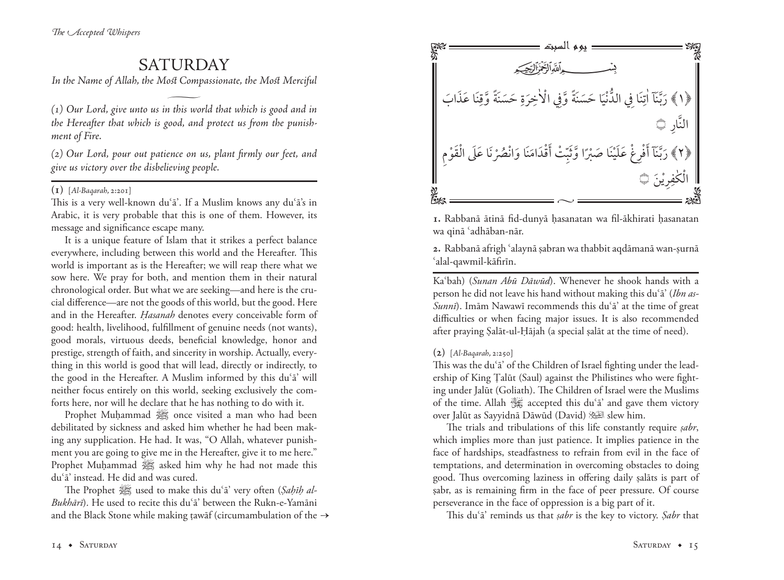### **SATURDAY**

In the Name of Allah, the Most Compassionate, the Most Merciful  $\overline{\phantom{0}}$ 

*() Our Lord, give unto us in this world that which is good and in the Hereafter that which is good, and protect us from the punishment of Fire.*

*() Our Lord, pour out patience on us, plant firmly our feet, and give us victory over the disbelieving people.*

#### $\left( \mathbf{I} \right)$  [Al-Baqarah, 2:201]

This is a very well-known du'a'. If a Muslim knows any du'a's in Arabic, it is very probable that this is one of them. However, its message and significance escape many.

It is a unique feature of Islam that it strikes a perfect balance everywhere, including between this world and the Hereafter. This world is important as is the Hereafter; we will reap there what we sow here. We pray for both, and mention them in their natural chronological order. But what we are seeking—and here is the crucial difference—are not the goods of this world, but the good. Here and in the Hereafter. *Hasanah* denotes every conceivable form of good: health, livelihood, fulfillment of genuine needs (not wants), good morals, virtuous deeds, beneficial knowledge, honor and prestige, strength of faith, and sincerity in worship. Actually, everything in this world is good that will lead, directly or indirectly, to the good in the Hereafter. A Muslim informed by this du'a' will neither focus entirely on this world, seeking exclusively the comforts here, nor will he declare that he has nothing to do with it.

Prophet Mu4ammad صلى الله عليه وسلم once visited a man who had been debilitated by sickness and asked him whether he had been making any supplication. He had. It was, "O Allah, whatever punishment you are going to give me in the Hereafter, give it to me here." Prophet Muhammad  $\frac{1}{2}$  asked him why he had not made this du<ā' instead. He did and was cured.

The Prophet صلى الله عليه وسلم used to make this du<ā' very often ( *a ī al-Bukhārī*). He used to recite this du'a' between the Rukn-e-Yamāni and the Black Stone while making tawāf (circumambulation of the  $\rightarrow$ 



**.** Rabbanā ātinā fid-dunyā 4asanatan wa fil-ākhirati 4asanatan wa qinā 'adhāban-nār.

2. Rabbanā afrigh 'alaynā şabran wa thabbit aqdāmanā wan-şurnā <alal-qawmil-kāfirīn.

Ka'bah) (*Sunan Abū Dāwūd*). Whenever he shook hands with a person he did not leave his hand without making this du<ā' (*Ibn as-Sunnī*). Imām Nawawī recommends this du'ā' at the time of great difficulties or when facing major issues. It is also recommended after praying Şalāt-ul-Ḥājah (a special salāt at the time of need).

#### $(2)$  [*Al-Bagarah*, 2:250]

This was the du'a' of the Children of Israel fighting under the leadership of King Țalūt (Saul) against the Philistines who were fighting under Jalūt (Goliath). The Children of Israel were the Muslims of the time. Allah وسلم accepted this du<ā' and gave them victory over Jalūt as Sayyidnā Dāwūd (David) slew him.

The trials and tribulations of this life constantly require *abr*, which implies more than just patience. It implies patience in the face of hardships, steadfastness to refrain from evil in the face of temptations, and determination in overcoming obstacles to doing good. Thus overcoming laziness in offering daily salāts is part of 5abr, as is remaining firm in the face of peer pressure. Of course perseverance in the face of oppression is a big part of it.

This du'a' reminds us that *sabr* is the key to victory. *Sabr* that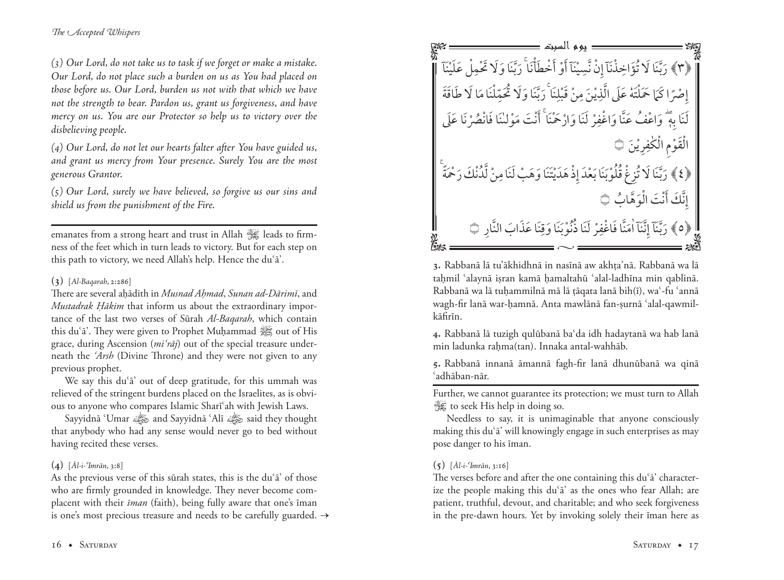*() Our Lord, do not take us to task if we forget or make a mistake. Our Lord, do not place such a burden on us as You had placed on those before us. Our Lord, burden us not with that which we have not the strength to bear. Pardon us, grant us forgiveness, and have mercy on us. You are our Protector so help us to victory over the disbelieving people.*

*() Our Lord, do not let our hearts falter after You have guided us, and grant us mercy from Your presence. Surely You are the most generous Grantor.*

*() Our Lord, surely we have believed, so forgive us our sins and shield us from the punishment of the Fire.*

emanates from a strong heart and trust in Allah  $\frac{1000}{1000}$  leads to firmness of the feet which in turn leads to victory. But for each step on this path to victory, we need Allah's help. Hence the du<ā'.

#### $(3)$  [*Al-Bagarah*, 2:286]

There are several a4ādith in *Musnad A mad*, *Sunan ad-Dārimī*, and *Mustadrak Hākim* that inform us about the extraordinary importance of the last two verses of Sūrah *Al-Baqarah*, which contain this du'a'. They were given to Prophet Muhammad  $\frac{d}{dx}$  out of His grace, during Ascension (*mi'raj*) out of the special treasure underneath the *Arsh* (Divine Throne) and they were not given to any previous prophet.

We say this du'a' out of deep gratitude, for this ummah was relieved of the stringent burdens placed on the Israelites, as is obvious to anyone who compares Islamic Sharī'ah with Jewish Laws.

Sayyidnā 'Umar a and Sayyidnā 'Alī a sayid they thought that anybody who had any sense would never go to bed without having recited these verses.

#### $(4)$  [ $\bar{A}l$ -*i*-*Imrān*, 3:8]

As the previous verse of this sūrah states, this is the du'a' of those who are firmly grounded in knowledge. They never become complacent with their *īman* (faith), being fully aware that one's īman is one's most precious treasure and needs to be carefully guarded.  $\rightarrow$ 

V يو لسبت Z 4نآ 4ل علي 4م ن ا لا تح َّ § ب نا 4 4نآ - 4 - 4خ طأ ي نس َّ 4 4ذنآ ن ا لا" تؤخ َّ ٣£¡ ب ا لا ط اقة 4لنا م ن ا لا " تح /م َّ § ب نا 4ل 4ن قب 4 ن م ي لذ َّ ت ٗه عE W4ل x 4 © ك &ن ا ف 4ان " 4ن ا عE 4ولª § 4-ن ت م 4 لن ا 4 4Wنا ر َّ ا 4 غف - 4 ع "ف عن ه لنا ب 4 ن ¤ ي ر 4لق4و 4 ل &كف § ل"د4ن ك 4Wة َّ 4ن تن ا ه 4ب لنا م 4 4 هدي 4عد نا ب 4 " ق"ل4وب ن ا لا" تز َّ ٤£¡ ب ه " ا ¤ َّ ن ك 4-ن ت 4 لو َّ ¤ ا ن ا عذ لنَّ ن ا ق 4 لن " ا "ن 4وب ر َّ ا ف 4اغف ن نن &آ م َّ نآ َّ ٥£¡ ب ÷ -º

3. Rabbanā lā tu'ākhidhnā in nasīnā aw akhta'nā. Rabbanā wa lā tahmil 'alaynā işran kamā hamaltahū 'alal-ladhīna min qablinā. Rabbanā wa lā tuḥammilnā mā lā ṭāqata lanā bih(ī), wa fu 'annā wagh-fir lanā war-hamnā. Anta mawlānā fan-șurnā 'alal-qawmilkāfirīn.

**.** Rabbanā lā tuzigh qulūbanā ba<da idh hadaytanā wa hab lanā min ladunka rahma(tan). Innaka antal-wahhāb.

**.** Rabbanā innanā āmannā fagh-fir lanā dhunūbanā wa qinā 'adhāban-nār.

Further, we cannot guarantee its protection; we must turn to Allah وسلم to seek His help in doing so.

Needless to say, it is unimaginable that anyone consciously making this du'a' will knowingly engage in such enterprises as may pose danger to his īman.

#### $(5)$  [ $\bar{A}l$ -*i*-'Imrān, 3:16]

The verses before and after the one containing this du'a' characterize the people making this du'a' as the ones who fear Allah; are patient, truthful, devout, and charitable; and who seek forgiveness in the pre-dawn hours. Yet by invoking solely their īman here as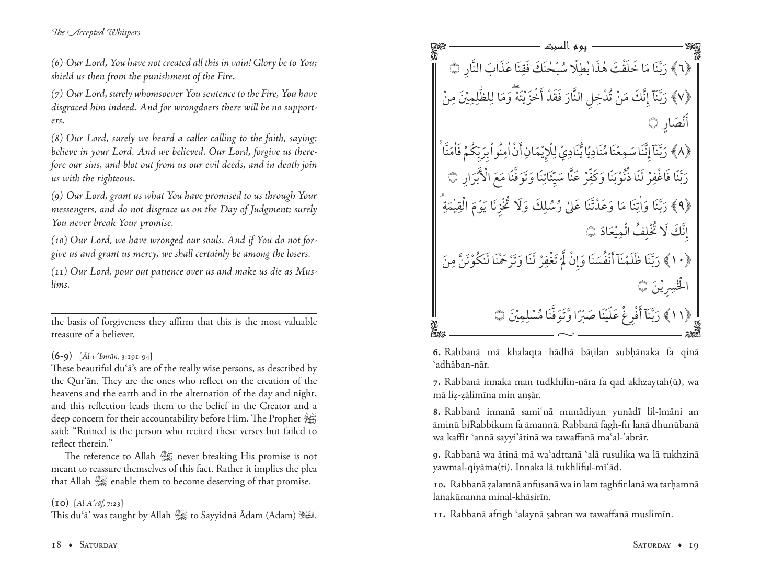*() Our Lord, You have not created all this in vain! Glory be to You; shield us then from the punishment of the Fire.*

*() Our Lord, surely whomsoever You sentence to the Fire, You have disgraced him indeed. And for wrongdoers there will be no supporters.*

*() Our Lord, surely we heard a caller calling to the faith, saying: believe in your Lord. And we believed. Our Lord, forgive us therefore our sins, and blot out from us our evil deeds, and in death join us with the righteous.*

*() Our Lord, grant us what You have promised to us through Your messengers, and do not disgrace us on the Day of Judgment; surely You never break Your promise.*

*() Our Lord, we have wronged our souls. And if You do not forgive us and grant us mercy, we shall certainly be among the losers.*

*() Our Lord, pour out patience over us and make us die as Muslims.*

the basis of forgiveness they affirm that this is the most valuable treasure of a believer.

 $(6-9)$  [*Āl-i-'Imrān*, 3:191-94]

These beautiful du'a's are of the really wise persons, as described by the Qur'ān. They are the ones who reflect on the creation of the heavens and the earth and in the alternation of the day and night, and this reflection leads them to the belief in the Creator and a deep concern for their accountability before Him. The Prophet صلى الله عليه وسلم said: "Ruined is the person who recited these verses but failed to reflect therein."

The reference to Allah وسلم never breaking His promise is not meant to reassure themselves of this fact. Rather it implies the plea that Allah وسلم enable them to become deserving of that promise.

#### $(Io)$  [*Al-A'rāf*, 7:23]

This du'a' was taught by Allah (Kayyidnā Ādam (Adam) ...

| أَ ﴿ ٦﴾ رَبَّنَا مَا خَلَقْتَ هٰذَا بٰطِلًا سُبْحٰنَكَ فَقِنَا عَذَابَ النَّارِ ۞                           |
|-------------------------------------------------------------------------------------------------------------|
| ﴿٧﴾ رَبَّنَآ إِنَّكَ مَنْ تُدْخِلِ النَّارَ فَقَدْ أَخْزَيْتَهُ ۖ وَمَا لِلظُّلِمِيْنَ مِنْ                 |
| أَنْصَارِ ١                                                                                                 |
| ﴿٨﴾ رَبَّنَاۤ إِنَّنَا سَمِعْنَا مُنَادِيًا يُّنَادِيْ لِلْإِيْمَانِ أَنْ اٰمِنُواْ بِرَبِّكُمْ فَاٰمَنَّاۤ |
| رَبَّنَا فَاغْفِرْ لَنَا ذُّنُوْبَنَا وَكَفِّرْ عَنَّا سَيِّئَاتِنَا وَتَوَفَّنَا مَعَ الْأَبْرَارِ ۞       |
| ﴿٩﴾ رَبَّنَا وَاٰتِنَا مَا وَعَدْتَّنَا عَلىٰ رُسُلِكَ وَلَا ثُخْزِنَا يَوْمَ الْقِيْمَةِ ۖ                 |
| إِنَّكَ لَا تُّخْلِفُ الْمِيْعَادَ ١                                                                        |
| ﴿١٠﴾ رَبَّنَا ظَلَمْنَآ أَنْفُسَنَا وَإِنْ لَّمْ تَغْفِرْ لَنَا وَتَرْحَمْنَا لَنَكُوْنَنَّ مِنَ            |
| الخْسِرِيْنَ ۞                                                                                              |
| ﴿١١﴾ رَبَّنَآ أَفْرِغْ عَلَيْنَا صَبْرًا وَّتَوَفَّنَا مُسْلِمِيْنَ ۞                                       |
|                                                                                                             |

6. Rabbanā mā khalaqta hādhā bāțilan subḥānaka fa qinā 'adhāban-nār.

**.** Rabbanā innaka man tudkhilin-nāra fa qad akhzaytah(ū), wa mā liz-zālimīna min ansār.

8. Rabbanā innanā sami<sup>c</sup>nā munādiyan yunādī lil-īmāni an āminū biRabbikum fa āmannā. Rabbanā fagh-fir lanā dhunūbanā wa kaffir 'annā sayyi'ātinā wa tawaffanā ma'al-'abrār.

9. Rabbanā wa ātinā mā wa<sup>s</sup>adttanā salā rusulika wa lā tukhzinā yawmal-qiyāma(ti). Innaka lā tukhliful-mī<ād.

10. Rabbanā zalamnā anfusanā wa in lam taghfir lanā wa tarhamnā lanakūnanna minal-khāsirīn.

II. Rabbanā afrigh 'alaynā şabran wa tawaffanā muslimīn.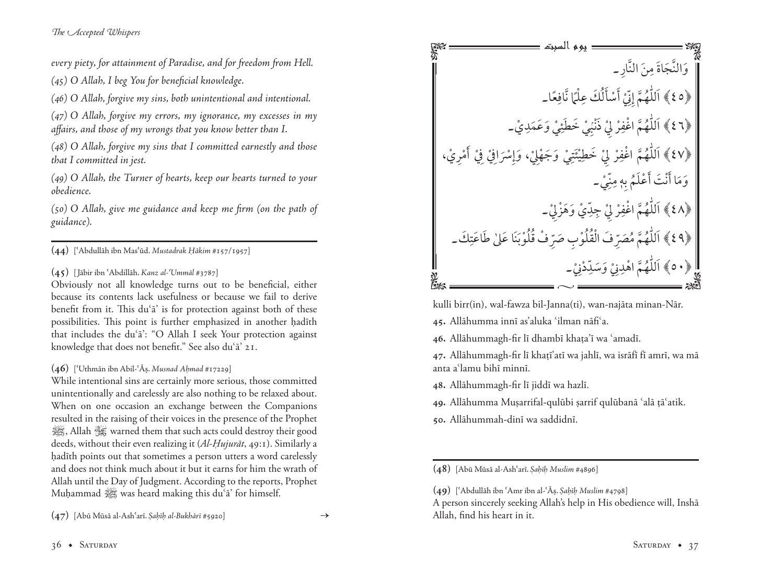*every piety, for attainment of Paradise, and for freedom from Hell.*

*() O Allah, I beg You for beneficial knowledge.*

*() O Allah, forgive my sins, both unintentional and intentional.*

*() O Allah, forgive my errors, my ignorance, my excesses in my affairs, and those of my wrongs that you know better than I.*

*() O Allah, forgive my sins that I committed earnestly and those that I committed in jest.*

*() O Allah, the Turner of hearts, keep our hearts turned to your obedience.*

*() O Allah, give me guidance and keep me firm (on the path of guidance).*

(44) ['Abdullāh ibn Mas'ūd. *Mustadrak Ḥākim* #157/1957]

**()** [ Jābir ibn Abdillāh. *Kanz alUmmāl* ]

Obviously not all knowledge turns out to be beneficial, either because its contents lack usefulness or because we fail to derive benefit from it. This du'a' is for protection against both of these possibilities. This point is further emphasized in another hadīth that includes the du<ā': "O Allah I seek Your protection against knowledge that does not benefit." See also du'a' 21.

**()** [ Uthmān ibn Abil-Āṣ. *Musnad Aḥmad* ]

While intentional sins are certainly more serious, those committed unintentionally and carelessly are also nothing to be relaxed about. When on one occasion an exchange between the Companions resulted in the raising of their voices in the presence of the Prophet صلى الله عليه وسلم, Allah وسلم warned them that such acts could destroy their good deeds, without their even realizing it (Al-Hujurāt, 49:1). Similarly a hadīth points out that sometimes a person utters a word carelessly and does not think much about it but it earns for him the wrath of Allah until the Day of Judgment. According to the reports, Prophet Mu4ammad صلى الله عليه وسلم was heard making this du<ā' for himself.

**()** [Abū Mūsā al-Ash arī. *Ṣaḥīḥ al-Bukhārī* ]

| يوم السبت                                                                          |
|------------------------------------------------------------------------------------|
| ً وَالنَّجَاةَ مِنَ النَّارِ ـ                                                     |
| ﴿٥٤﴾ اَللَّهُمَّ إِنِّيٰٓ أَسْأَلُكَ عِلْيًا نَّافِعًا۔                            |
| ﴿٤٦﴾ اَللَّهُمَّ اغْفِرْ لِيْ ذَنْبِيْ خَطَئِيْ وَعَمَدِيْ۔                        |
| ﴿٤٧﴾ اَللَّهُمَّ اغْفِرْ لِيْ خَطِيْتَتِيْ وَجَهْلِيْ، وَإِسْرَافِيْ فِي أَمْرِيْ، |
| وَمَا أَنْتَ أَعْلَمُ بِهِ مِنِّيْ ـ                                               |
| ﴿٤٨﴾ اَللَّهُمَّ اغْفِرْ لِيْ جِدِّيْ وَهَزْلِيْ۔                                  |
| ﴿٤٩﴾) اَللَّهُمَّ مُصَرِّفَ الْقُلُوْبِ صَرِّفْ قُلُوْبَنَا عَلىٰ طَاعَتِكَ۔       |
| ﴿٥٠﴾ اَللَّهُمَّ اهْدِنِيْ وَسَدِّدْنِيْ۔                                          |
|                                                                                    |

kulli birr(in), wal-fawza bil-Janna(ti), wan-najāta minan-Nār.

45. Allāhumma innī as'aluka 'ilman nāfi'a.

46. Allāhummagh-fir lī dhambī khata'ī wa 'amadī.

47. Allāhummagh-fir lī khaṭī'atī wa jahlī, wa isrāfī fī amrī, wa mā anta a<lamu bihī minnī.

**.** Allāhummagh-fir lī jiddī wa hazlī.

49. Allāhumma Musarrifal-qulūbi sarrif qulūbanā 'alā tā atik.

**.** Allāhummah-dinī wa saddidnī.

**()** [Abū Mūsā al-Ash arī. *Ṣaḥīḥ Muslim* ]

**<sup>()</sup>** [ Abdullāh ibn Amr ibn al-Āṣ. *Ṣaḥīḥ Muslim* ]

A person sincerely seeking Allah's help in His obedience will, Inshā Allah, find his heart in it.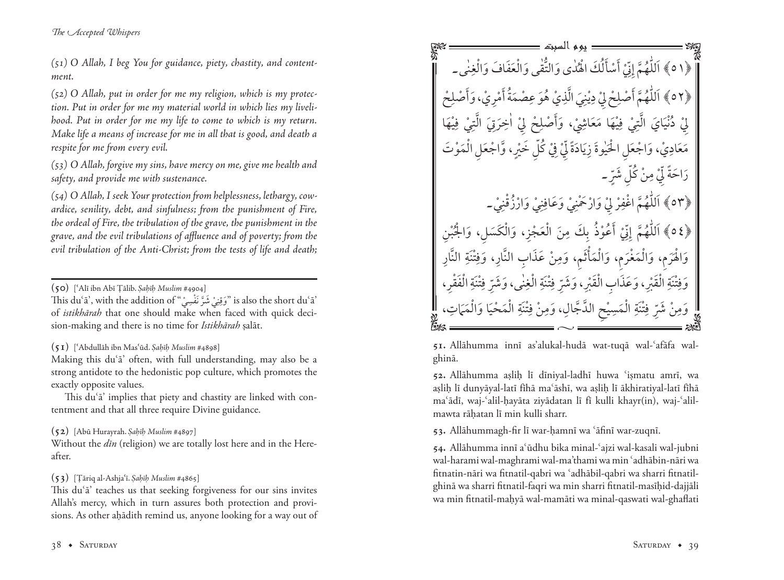*() O Allah, I beg You for guidance, piety, chastity, and contentment.*

*() O Allah, put in order for me my religion, which is my protection. Put in order for me my material world in which lies my livelihood. Put in order for me my life to come to which is my return. Make life a means of increase for me in all that is good, and death a respite for me from every evil.*

*() O Allah, forgive my sins, have mercy on me, give me health and safety, and provide me with sustenance.*

*() O Allah, I seek Your protection from helplessness, lethargy, cowardice, senility, debt, and sinfulness; from the punishment of Fire, the ordeal of Fire, the tribulation of the grave, the punishment in the grave, and the evil tribulations of affluence and of poverty; from the evil tribulation of the Anti-Christ; from the tests of life and death;* 

This duʿā', with the addition of "وَقِنِيْ شَرَّ نَفْسِيْ" is also the short duʿā' İ  $\overline{a}$  $\overline{\phantom{a}}$ of *istikhārah* that one should make when faced with quick decision-making and there is no time for *Istikhārah* 5alāt.

**()** [ Abdullāh ibn Mas ūd. *Ṣaḥīḥ Muslim* ]

Making this du'a' often, with full understanding, may also be a strong antidote to the hedonistic pop culture, which promotes the exactly opposite values.

This du'a' implies that piety and chastity are linked with contentment and that all three require Divine guidance.

**()** [Abū Hurayrah. *Ṣaḥīḥ Muslim* ]

Without the *dīn* (religion) we are totally lost here and in the Hereafter.

**()** [Ṭāriq al-Ashja ī. *Ṣaḥīḥ Muslim* ]

This du'a<sup>2</sup> teaches us that seeking forgiveness for our sins invites Allah's mercy, which in turn assures both protection and provisions. As other ahadith remind us, anyone looking for a way out of

V يو لسبت Z ن&ىÆ لت &ق ى 4لعف ا 4لغ ُّ " &د ل" ك 4 4 - 4سأ {/ م َّ لل"ه ¡٥١£ 4ح 4 ، - 4صل 4ر 4صم"ة -م 4 " هو ع لذ S َّ 4 ي 4 4ح م - 4صل َّ لل"ه ¡٥٢£ 4ها ي 4¹ ف ل َّ Ë ر 4 & خ 4ح <sup>4</sup> ، - 4صل ع ا¿ 4ها م ي 4¹ ف ل َّ ا 4ني " 4 ، 4 جعل 4 لم 4و َّ 4 " ك/ل خ4 n 4 ا / ي & و ي 4 ، 4 جعل 4 لح عا م Æ / 4ن " ك/ل 4 م حة / Æ 4S S4 4"4ق S4 عاف W4 4 4 4 ر م 4 غف َّ لل"ه ¡٥٣£ 4 ن "ب ، 4ل كس ل ، 4 لج ن 4 لع 4جز ك م 4 - "ع 4و" ب {/ م َّ لل"ه ¡٥٤£ ا لنَّ 4تنة ، ف ا 4ن عذ لنَّ ث م ، م 4 ، 4لمأ ، 4لم 4غر ر 4 ، 4 لف4قر 4تنة ف / ن& ى، 4 لغ 4تنة ف / ، ، عذ 4 لق4 4 لق4 4تنة ف ، x ا 4لم 4 لم 4حي 4تنة 4ن ف ، م جا َّ لد َّ 4 ح ي 4 لمس 4تنة ف / 4ن º -<sup>÷</sup> م

**.** Allāhumma innī as'alukal-hudā wat-tuqā wal-<afāfa walghinā.

52. Allāhumma aslih lī dīniyal-ladhī huwa 'ismatu amrī, wa așlih lī dunyāyal-latī fīhā ma'āshī, wa așlih lī ākhiratiyal-latī fīhā ma'ādī, waj-'alil-hayāta ziyādatan lī fī kulli khayr(in), waj-'alilmawta rāḥatan lī min kulli sharr.

**.** Allāhummagh-fir lī war-4amnī wa <āfinī war-zuqnī.

**.** Allāhumma innī a<ūdhu bika minal-<ajzi wal-kasali wal-jubni wal-harami wal-maghrami wal-ma'thami wa min 'adhābin-nāri wa fitnatin-nāri wa fitnatil-qabri wa 'adhābil-qabri wa sharri fitnatilghinā wa sharri fitnatil-faqri wa min sharri fitnatil-masīḥid-dajjāli wa min fitnatil-mahyā wal-mamāti wa minal-qaswati wal-ghaflati

**<sup>()</sup>** [ Alī ibn Abī Ṭālib. *Ṣaḥīḥ Muslim* ]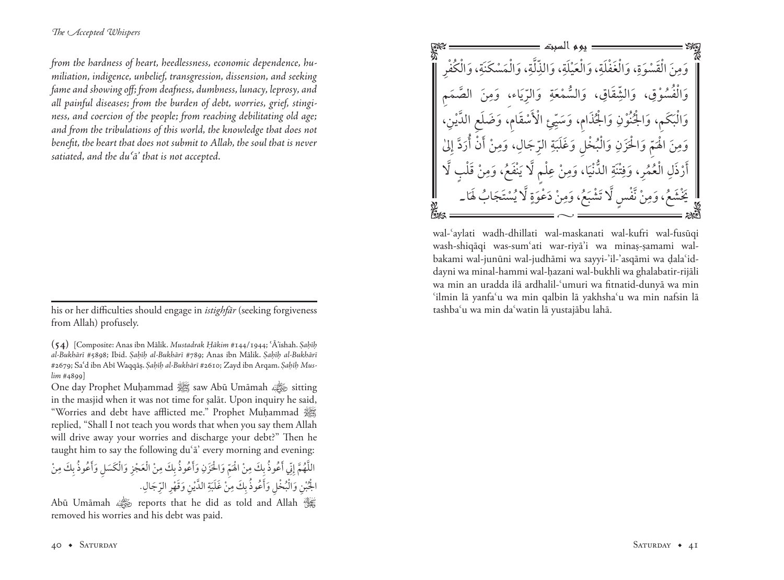*from the hardness of heart, heedlessness, economic dependence, humiliation, indigence, unbelief, transgression, dissension, and seeking fame and showing off; from deafness, dumbness, lunacy, leprosy, and all painful diseases; from the burden of debt, worries, grief, stinginess, and coercion of the people; from reaching debilitating old age; and from the tribulations of this world, the knowledge that does not benefit, the heart that does not submit to Allah, the soul that is never satiated, and the du
ā' that is not accepted.*

his or her difficulties should engage in *istighfār* (seeking forgiveness from Allah) profusely.

**()** [Composite: Anas ibn Mālik. *Mustadrak Ḥākim* /; Ā'ishah. *Ṣaḥīḥ al-Bukhārī* ; Ibid. *Ṣaḥīḥ al-Bukhārī* ; Anas ibn Mālik. *Ṣaḥīḥ al-Bukhārī* ; Sa d ibn Abī Waqqāṣ. *Ṣaḥīḥ al-Bukhārī* ; Zayd ibn Arqam. *Ṣaḥīḥ Mus-* $\lim_{4899}$ 

One day Prophet Mu4ammad صلى الله عليه وسلم saw Abū Umāmah sitting in the masjid when it was not time for 5alāt. Upon inquiry he said, "Worries and debt have afflicted me." Prophet Mu4ammad صلى الله عليه وسلم replied, "Shall I not teach you words that when you say them Allah will drive away your worries and discharge your debt?" Then he taught him to say the following du'a' every morning and evening: اللَّهُمَّ إِنِّي أَعُوذُ بِكَ مِنْ اهْمَّ وَالْحَزَنِ وَأَعُوذُ بِكَ مِنْ الْعَجْزِ وَالْكَسَلِ وَأَعُوذُ بِكَ مِنْ  $\overline{a}$  $\overline{a}$ الْجُبْنِ وَالْبُخْلِ وَأَعُوذُ بِكَ مِنْ غَلَبَةِ الدَّيْنِ وَقَهْرِ الرِّجَالِ. 1 /  $\overline{\phantom{a}}$  $\overline{a}$ "ب

Abū Umāmah وَسَلَّى reports that he did as told and Allah removed his worries and his debt was paid.

V يو لسبت Z ، 4ل "ك 4فر ، 4لم 4س كنة لة َّ ، / لذ 4لة ، 4لعي ، 4لغ4فلة ن 4 لق 4سو م َّ لصم م ن ا، م ي / لر ُّ لس 4معة ، قا ، / لش 4ل"ف"س4و 4 ن، َّ لدي 4سق ا ، ضل ع ئ 4 لأ / "ذ ، سي 4 لج "ن" 4و ك م ، 4 لج 4لب ~& َّ 4ن - 4 -" ، م جا / لر ة " 4خ ل غلب 4لب ز /م 4 لح ن 4 م لا َّ 4ن ق4ل ب ن4ف"ع ، م لا ي َّ 4ل م 4ن ع ا، م ُّ لد4ني 4تنة ، ف 4 ل"ع"مر 4 -اÆ ت ج " ا " 4س لا ي َّ 4عو 4ن "ع ، م لا ت 4شب َّ ن 4ف س َّ 4ن 4ش"ع ، م ÷ -º

wal-'aylati wadh-dhillati wal-maskanati wal-kufri wal-fusūqi wash-shiqāqi was-sum'ati war-riyā'i wa minaș-șamami walbakami wal-junūni wal-judhāmi wa sayyi-'il-'asqāmi wa dala'iddayni wa minal-hammi wal-4azani wal-bukhli wa ghalabatir-rijāli wa min an uradda ilā ardhalil-<umuri wa fitnatid-dunyā wa min 'ilmin lā yanfa'u wa min qalbin lā yakhsha'u wa min nafsin lā tashba'u wa min da'watin lā yustajābu lahā.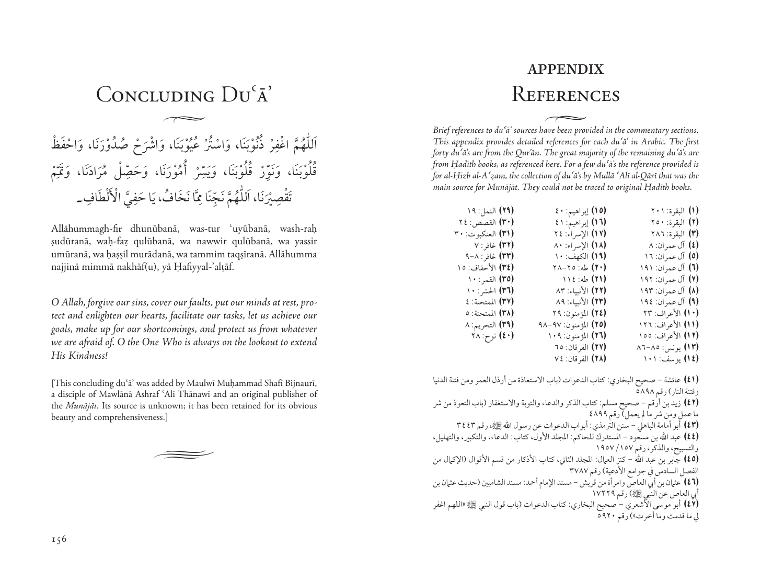#### CONCLUDING  $D\tilde{u}^{\tilde{A}}$ *-*للَّهُمَّ اغْفِرْ ذُنْوْبَنَا، وَاسْتُرْ عُيُوْبَنَا، وَاشْرَحْ صُدُوْرَنَا، وَاحْفَظْ ֖֚֝֝֝֝֝**֝** ;<br>; Í ĺ قُلُوْبَنَا، وَنَوِّرْ قُلُوْبَنَا، وَيَسِّرْ أُمُوْرَنَا، وَحَصِّلْ مُرَادَنَا، وَقَـِّمْ j /  $\overline{\phantom{a}}$ ֘֒ تَقْصِيْرَنَا، اَللَّهُمَّ نَجِّنَا مِمَّا نَخَافُ، يَا حَفِيَّ الْأَلْطَافِ ـ ل َّ  $\overline{a}$ ֦֧ ֺ<u>֓</u>

Allāhummagh-fir dhunūbanā, was-tur 'uyūbanā, wash-raḥ şudūranā, wah-faz qulūbanā, wa nawwir qulūbanā, wa yassir umūranā, wa hassil murādanā, wa tammim taqsīranā. Allāhumma najjinā mimmā nakhāf(u), yā Hafiyyal-'altāf.

*O Allah, forgive our sins, cover our faults, put our minds at rest, protect and enlighten our hearts, facilitate our tasks, let us achieve our goals, make up for our shortcomings, and protect us from whatever we are afraid of. O the One Who is always on the lookout to extend His Kindness!*

[This concluding du'a' was added by Maulwī Muhammad Shafī Bijnaurī, a disciple of Mawlānā Ashraf 'Alī Thānawī and an original publisher of the *Munājāt*. Its source is unknown; it has been retained for its obvious beauty and comprehensiveness.]

 $\implies$ 

## appendix **REFERENCES** *-*

Brief references to du'a' sources have been provided in the commentary sections. *This appendix provides detailed references for each du
ā' in Arabic. The first*  forty du <sup>*a's are from the Qur'an. The great majority of the remaining du <sup><i>a's are*</sup></sup> *from Ḥadīth books, as referenced here. For a few du
ā's the reference provided is for al-Ḥizb al-A
ẓam, the collection of du
ā's by Mullā 
Alī al-Qārī that was the main source for Munājāt. They could not be traced to original Ḥadīth books.*

| (۲۹) النمل: ۱۹    | (١٥) إبراهيم: ٤٠     | (۱) البقرة: ۲۰۱                       |
|-------------------|----------------------|---------------------------------------|
| (۳۰) القصص: ۲٤    | (١٦) إبراهيم: ٤١     | (۲) البقرة: ۲۵۰                       |
| (۳۱) العنكبوت: ۳۰ | (١٧) الإسراء: ٢٤     | (۳) البقرة: ۲۸٦                       |
| (۳۲) غافر : ۷     | (١٨) الإسراء: ٨٠     | $\wedge$ : آل عمر ان $(\mathfrak{t})$ |
| (۳۳) غافر : ۸–۹   | (١٩) الكهف: ١٠       | (0) آل عمر ان: ١٦                     |
| (٣٤) الأحقاف: ١٥  | (۲۰) طه: ۲۵–۲۸       | <b>(٦)</b> آل عمر ان: ۱۹۱             |
| (٣٥) القمر : ١٠   | (۲۱) طه: ۱۱٤         | (۷) آل عمر ان: ۱۹۲                    |
| (٣٦) الحشر : ١٠   | (٢٢) الأنباء: ٨٣     | (۸) آل عمر ان: ۱۹۳                    |
| (٣٧) المتحنة: ٤   | (٢٣) الأنباء: ٨٩     | (۹) آل عمر ان: ۱۹٤                    |
| (۳۸) المتحنة: ٥   | (٢٤) المؤمنون: ٢٩    | (١٠) الأعراف: ٢٣                      |
| (٣٩) التحريم: ٨   | (٢٥) المؤمنون: ٩٧-٩٨ | (١١) الأعراف: ١٢٦                     |
| (٤٠) نوح: ٢٨      | (٢٦) المؤمنون: ١٠٩   | (١٢) الأعراف: ١٥٥                     |
|                   | (٢٧) الفرقان: ٦٥     | (۱۳) يونس: ۸۵-۸۲                      |
|                   | (٢٨) الفرقان: ٧٤     | (١٤) يوسف: ١٠١                        |

(**٤١)** عائشة - صحيح البخاري: كتاب الدعوات (باب الاستعاذة من أرذل العمر ومن فتنة الدنيا وفتنة النار) رقم ٥٨٩٨

**(٤٢)** زيد بن أرقم – صحيح مسلم: كتاب الذكر والدعاء والتوبة والاستغفار (باب التعوذ من شر ما عمل ومن شر ما لم يعمل) رقم ٤٨٩٩ .

**(٤٣)** أَبو أمامة الباهلي – سنن الترمذي: أبواب الدعوات عن رسول الله ﷺ، رقم ٣٤٤٣

**(٤٤)** عبد الله بن مسعو - لمستد للحاكم: لمجلد لأ، كتا: لدعا، لتكب، لتهليل، لتسبيح، لذكر، قم ١٩٥٧/١٥٧

**(٤٥)** جابر بن عبد الله - كنز لعx: لمجلد لثا}، كتا لأكا من قسم لأقو (لإكx من الفصل السادس في جوامع الأدعية) رقم ٣٧٨٧

**(٤٦)** عثمان بن أبي العاص وامرأة من قريش – مسند الإمام أحمد: مسند الشاميين (حديث عثمان بن أبي العاص عن النبي صلى الله ١٧٢٢٩ (أَمْمُ) أبو موسى الأشعري - صحيح البخاري: كتاب الدعوات (باب قول النبي ﷺ «اللهم اغفر لى ما قدمت وما أخرت») رقم ٥٩٢٠